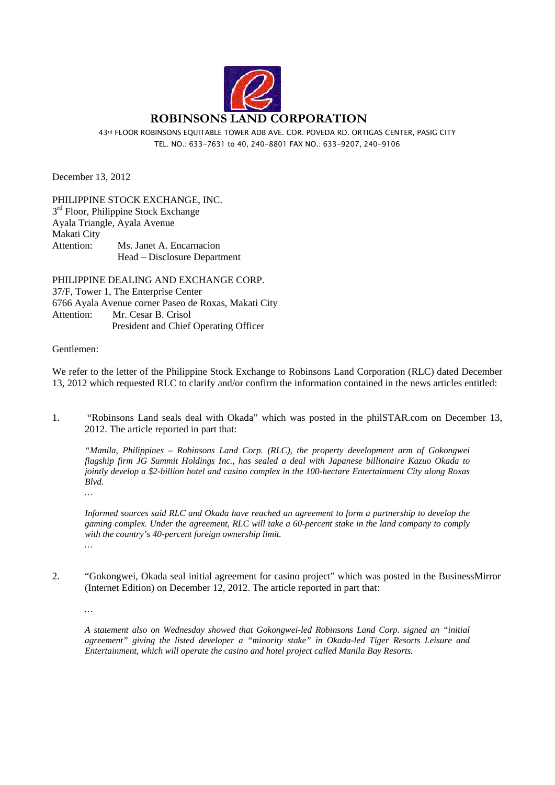

43rd FLOOR ROBINSONS EQUITABLE TOWER ADB AVE. COR. POVEDA RD. ORTIGAS CENTER, PASIG CITY TEL. NO.: 633-7631 to 40, 240-8801 FAX NO.: 633-9207, 240-9106

December 13, 2012

PHILIPPINE STOCK EXCHANGE, INC.  $3<sup>rd</sup>$  Floor, Philippine Stock Exchange Ayala Triangle, Ayala Avenue Makati City Attention: Ms. Janet A. Encarnacion Head – Disclosure Department

PHILIPPINE DEALING AND EXCHANGE CORP. 37/F, Tower 1, The Enterprise Center 6766 Ayala Avenue corner Paseo de Roxas, Makati City Attention: Mr. Cesar B. Crisol President and Chief Operating Officer

## Gentlemen:

We refer to the letter of the Philippine Stock Exchange to Robinsons Land Corporation (RLC) dated December 13, 2012 which requested RLC to clarify and/or confirm the information contained in the news articles entitled:

1. "Robinsons Land seals deal with Okada" which was posted in the philSTAR.com on December 13, 2012. The article reported in part that:

*"Manila, Philippines – Robinsons Land Corp. (RLC), the property development arm of Gokongwei flagship firm JG Summit Holdings Inc., has sealed a deal with Japanese billionaire Kazuo Okada to jointly develop a \$2-billion hotel and casino complex in the 100-hectare Entertainment City along Roxas Blvd.* 

*Informed sources said RLC and Okada have reached an agreement to form a partnership to develop the gaming complex. Under the agreement, RLC will take a 60-percent stake in the land company to comply with the country's 40-percent foreign ownership limit. …* 

2. "Gokongwei, Okada seal initial agreement for casino project" which was posted in the BusinessMirror (Internet Edition) on December 12, 2012. The article reported in part that:

*…* 

*…* 

*A statement also on Wednesday showed that Gokongwei-led Robinsons Land Corp. signed an "initial agreement" giving the listed developer a "minority stake" in Okada-led Tiger Resorts Leisure and Entertainment, which will operate the casino and hotel project called Manila Bay Resorts.*